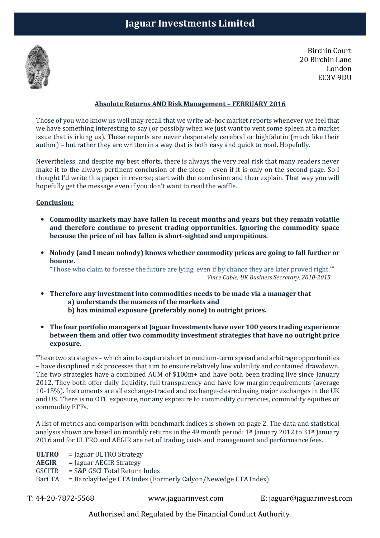

Birchin Court 20 Birchin Lane London EC3V 9DU

## **Absolute Returns AND Risk Management – FEBRUARY 2016**

Those of you who know us well may recall that we write ad-hoc market reports whenever we feel that we have something interesting to say (or possibly when we just want to vent some spleen at a market issue that is irking us). These reports are never desperately cerebral or highfalutin (much like their author) – but rather they are written in a way that is both easy and quick to read. Hopefully.

Nevertheless, and despite my best efforts, there is always the very real risk that many readers never make it to the always pertinent conclusion of the piece – even if it is only on the second page. So I thought I'd write this paper in reverse; start with the conclusion and then explain. That way you will hopefully get the message even if you don't want to read the waffle.

### **Conclusion:**

- **Commodity markets may have fallen in recent months and years but they remain volatile and therefore continue to present trading opportunities. Ignoring the commodity space because the price of oil has fallen is short-sighted and unpropitious.**
- **Nobody (and I mean nobody) knows whether commodity prices are going to fall further or bounce.**

**"**Those who claim to foresee the future are lying, even if by chance they are later proved right.**'"**   *Vince Cable, UK Business Secretary, 2010-2015*

- **Therefore any investment into commodities needs to be made via a manager that a) understands the nuances of the markets and** 
	- **b) has minimal exposure (preferably none) to outright prices.**
- **The four portfolio managers at Jaguar Investments have over 100 years trading experience between them and offer two commodity investment strategies that have no outright price exposure.**

These two strategies – which aim to capture short to medium-term spread and arbitrage opportunities – have disciplined risk processes that aim to ensure relatively low volatility and contained drawdown. The two strategies have a combined AUM of \$100m+ and have both been trading live since January 2012. They both offer daily liquidity, full transparency and have low margin requirements (average 10-15%). Instruments are all exchange-traded and exchange-cleared using major exchanges in the UK and US. There is no OTC exposure, nor any exposure to commodity currencies, commodity equities or commodity ETFs.

A list of metrics and comparison with benchmark indices is shown on page 2. The data and statistical analysis shown are based on monthly returns in the 49 month period: 1st January 2012 to 31st January 2016 and for ULTRO and AEGIR are net of trading costs and management and performance fees.

**ULTRO** = Jaguar ULTRO Strategy

**AEGIR** = Jaguar AEGIR Strategy

GSCITR = S&P GSCI Total Return Index

BarCTA = BarclayHedge CTA Index (Formerly Calyon/Newedge CTA Index)

T: 44-20-7872-5568 www.jaguarinvest.com E: jaguar@jaguarinvest.com

Authorised and Regulated by the Financial Conduct Authority.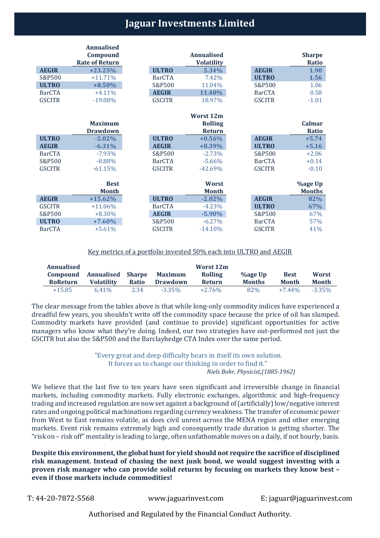# **Jaguar Investments Limited**

|               | <b>Annualised</b>     |               |                   |               |                |
|---------------|-----------------------|---------------|-------------------|---------------|----------------|
|               | Compound              |               | <b>Annualised</b> |               | <b>Sharpe</b>  |
|               | <b>Rate of Return</b> |               | <b>Volatility</b> |               | <b>Ratio</b>   |
| <b>AEGIR</b>  | $+23.25%$             | <b>ULTRO</b>  | 5.34%             | <b>AEGIR</b>  | 1.90           |
| S&P500        | $+11.71%$             | <b>BarCTA</b> | 7.42%             | <b>ULTRO</b>  | 1.56           |
| <b>ULTRO</b>  | $+8.50%$              | S&P500        | 11.04%            | S&P500        | 1.06           |
| <b>BarCTA</b> | $+4.11%$              | <b>AEGIR</b>  | 11.40%            | <b>BarCTA</b> | 0.58           |
| <b>GSCITR</b> | $-19.08%$             | <b>GSCITR</b> | 18.97%            | <b>GSCITR</b> | $-1.01$        |
|               |                       |               |                   |               |                |
|               |                       |               | <b>Worst 12m</b>  |               |                |
|               | <b>Maximum</b>        |               | <b>Rolling</b>    |               | <b>Calmar</b>  |
|               | <b>Drawdown</b>       |               | <b>Return</b>     |               | Ratio          |
| <b>ULTRO</b>  | $-2.02%$              | <b>ULTRO</b>  | $+0.56%$          | <b>AEGIR</b>  | $+5.74$        |
| <b>AEGIR</b>  | $-6.31%$              | <b>AEGIR</b>  | $+0.39%$          | <b>ULTRO</b>  | $+5.16$        |
| <b>BarCTA</b> | $-7.93%$              | S&P500        | $-2.73%$          | S&P500        | $+2.06$        |
| S&P500        | $-8.88%$              | <b>BarCTA</b> | $-5.66%$          | <b>BarCTA</b> | $+0.14$        |
| <b>GSCITR</b> | $-61.15%$             | <b>GSCITR</b> | $-42.69%$         | <b>GSCITR</b> | $-0.10$        |
|               |                       |               |                   |               |                |
|               | <b>Best</b>           |               | Worst             |               | <b>%age Up</b> |
|               | <b>Month</b>          |               | <b>Month</b>      |               | <b>Months</b>  |
| <b>AEGIR</b>  | $+15.62%$             | <b>ULTRO</b>  | $-2.02%$          | <b>AEGIR</b>  | 82%            |
| <b>GSCITR</b> | $+11.06%$             | <b>BarCTA</b> | $-4.23%$          | <b>ULTRO</b>  | 67%            |
| S&P500        | $+8.30%$              | <b>AEGIR</b>  | $-5.90%$          | S&P500        | 67%            |
| <b>ULTRO</b>  | $+7.60%$              | S&P500        | $-6.27%$          | <b>BarCTA</b> | 57%            |
| <b>BarCTA</b> | $+5.61%$              | <b>GSCITR</b> | $-14.10%$         | <b>GSCITR</b> | 41%            |

### Key metrics of a portfolio invested 50% each into ULTRO and AEGIR

| Annualised       |                          |       |                | Worst 12m      |               |             |           |
|------------------|--------------------------|-------|----------------|----------------|---------------|-------------|-----------|
| Compound         | <b>Annualised Sharpe</b> |       | <b>Maximum</b> | <b>Rolling</b> | %age Up       | <b>Best</b> | Worst     |
| <b>Ro</b> Return | <b>Volatility</b>        | Ratio | Drawdown       | Return         | <b>Months</b> | Month       | Month     |
| $+15.85$         | $6.41\%$                 | 2.34  | $-3.35\%$      | $+2.76\%$      | 82%           | $+7.44\%$   | $-3.35\%$ |

The clear message from the tables above is that while long-only commodity indices have experienced a dreadful few years, you shouldn't write off the commodity space because the price of oil has slumped. Commodity markets have provided (and continue to provide) significant opportunities for active managers who know what they're doing. Indeed, our two strategies have out-performed not just the GSCITR but also the S&P500 and the Barclayhedge CTA Index over the same period.

> "Every great and deep difficulty bears in itself its own solution. It forces us to change our thinking in order to find it."  *Niels Bohr, Physicist,(1885-1962)*

We believe that the last five to ten years have seen significant and irreversible change in financial markets, including commodity markets. Fully electronic exchanges, algorithmic and high-frequency trading and increased regulation are now set against a background of (artificially) low/negative interest rates and ongoing political machinations regarding currency weakness. The transfer of economic power from West to East remains volatile, as does civil unrest across the MENA region and other emerging markets. Event risk remains extremely high and consequently trade duration is getting shorter. The "risk on – risk off" mentality is leading to large, often unfathomable moves on a daily, if not hourly, basis.

**Despite this environment, the global hunt for yield should not require the sacrifice of disciplined risk management. Instead of chasing the next junk bond, we would suggest investing with a proven risk manager who can provide solid returns by focusing on markets they know best – even if those markets include commodities!** 

T: 44-20-7872-5568 www.jaguarinvest.com E: jaguar@jaguarinvest.com

Authorised and Regulated by the Financial Conduct Authority.